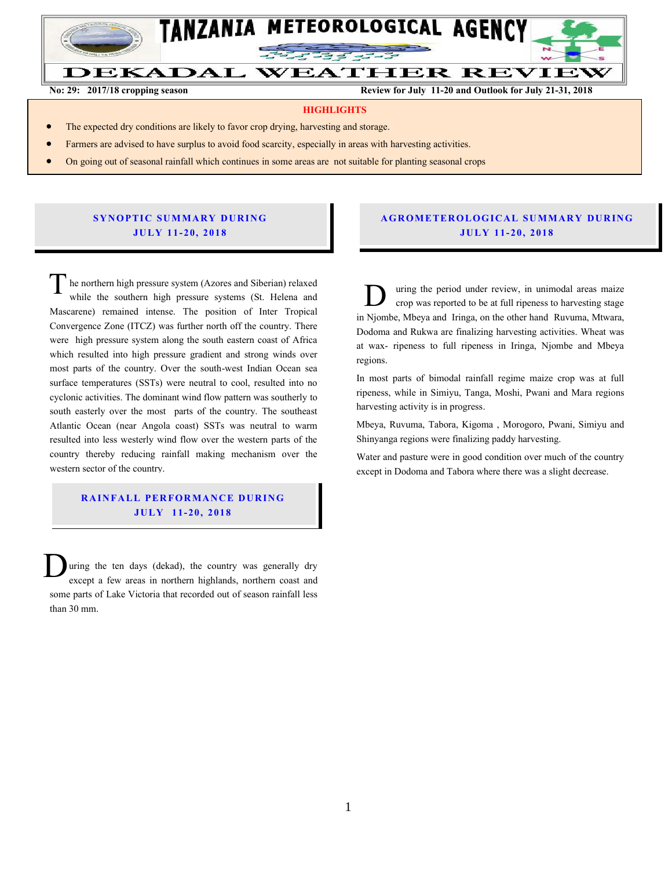

**No: 29: 2017/18 cropping season Review for July 11-20 and Outlook for July 21-31, 2018**

#### **HIGHLIGHTS**

- The expected dry conditions are likely to favor crop drying, harvesting and storage.
- Farmers are advised to have surplus to avoid food scarcity, especially in areas with harvesting activities.
- On going out of seasonal rainfall which continues in some areas are not suitable for planting seasonal crops

# he northern high pressure system (Azores and Siberian) **JU LY 11- 20, 201 8 SYNOPTIC SUMMARY DURING**

he northern high pressure system (Azores and Siberian) relaxed while the southern high pressure systems (St. Helena and Mascarene) remained intense. The position of Inter Tropical Convergence Zone (ITCZ) was further north off the country. There were high pressure system along the south eastern coast of Africa which resulted into high pressure gradient and strong winds over most parts of the country. Over the south-west Indian Ocean sea surface temperatures (SSTs) were neutral to cool, resulted into no cyclonic activities. The dominant wind flow pattern was southerly to south easterly over the most parts of the country. The southeast Atlantic Ocean (near Angola coast) SSTs was neutral to warm resulted into less westerly wind flow over the western parts of the country thereby reducing rainfall making mechanism over the western sector of the country. T

## **RAINFALL PERFORMANCE DURING JU LY 11- 20, 2018**

uring the ten days (dekad), the country was generally dry except a few areas in northern highlands, northern coast and some parts of Lake Victoria that recorded out of season rainfall less than 30 mm. D

## **A G RO METER O LO G IC AL SU MMAR Y DU R IN G JU LY 11- 20, 2018**

uring the period under review, in unimodal areas maize crop was reported to be at full ripeness to harvesting stage in Njombe, Mbeya and Iringa, on the other hand Ruvuma, Mtwara, Dodoma and Rukwa are finalizing harvesting activities. Wheat was at wax- ripeness to full ripeness in Iringa, Njombe and Mbeya regions.  $\overline{D}$ 

In most parts of bimodal rainfall regime maize crop was at full ripeness, while in Simiyu, Tanga, Moshi, Pwani and Mara regions harvesting activity is in progress.

Mbeya, Ruvuma, Tabora, Kigoma , Morogoro, Pwani, Simiyu and Shinyanga regions were finalizing paddy harvesting.

Water and pasture were in good condition over much of the country except in Dodoma and Tabora where there was a slight decrease.